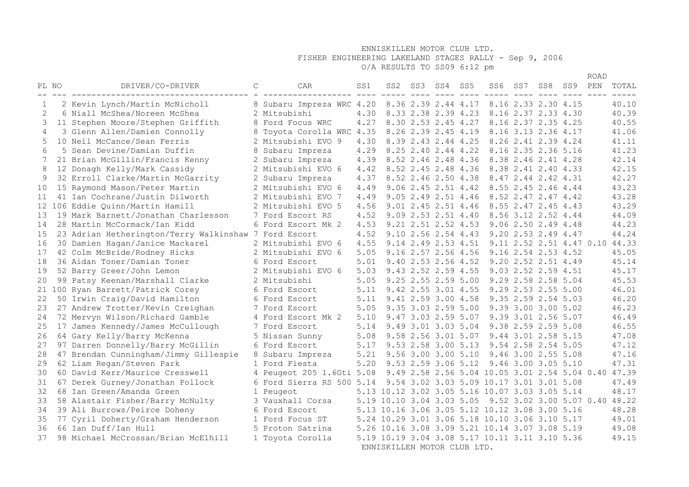# FISHER ENGINEERING LAKELAND STAGES RALLY - Sep 9, 2006

O/A RESULTS TO SS09 6:12 pm

|       |                                                       |              |                           |      |                                                |                     |     |                                                     |     |                     |     | ROAD |                                |
|-------|-------------------------------------------------------|--------------|---------------------------|------|------------------------------------------------|---------------------|-----|-----------------------------------------------------|-----|---------------------|-----|------|--------------------------------|
| PL NO | DRIVER/CO-DRIVER                                      | $\mathsf{C}$ | CAR                       | SS1  | SS2                                            | SS3 SS4             | SS5 | SS6                                                 | SS7 | SS8                 | SS9 | PEN  | TOTAL                          |
| 1     | 2 Kevin Lynch/Martin McNicholl                        |              | 8 Subaru Impreza WRC 4.20 |      |                                                | 8.36 2.39 2.44 4.17 |     |                                                     |     | 8.16 2.33 2.30 4.15 |     |      | 40.10                          |
|       | 6 Niall McShea/Noreen McShea                          |              | 2 Mitsubishi              | 4.30 |                                                | 8.33 2.38 2.39 4.23 |     |                                                     |     | 8.16 2.37 2.33 4.30 |     |      | 40.39                          |
| 3     | 11 Stephen Moore/Stephen Griffith                     |              | 8 Ford Focus WRC          | 4.27 |                                                | 8.30 2.53 2.45 4.27 |     |                                                     |     | 8.16 2.37 2.35 4.25 |     |      | 40.55                          |
| 4     | 3 Glenn Allen/Damien Connolly                         |              | 8 Toyota Corolla WRC 4.35 |      |                                                | 8.26 2.39 2.45 4.19 |     |                                                     |     | 8.16 3.13 2.36 4.17 |     |      | 41.06                          |
| 5     | 10 Neil McCance/Sean Ferris                           |              | 2 Mitsubishi EVO 9        | 4.30 |                                                | 8.39 2.43 2.44 4.25 |     |                                                     |     | 8.26 2.41 2.39 4.24 |     |      | 41.11                          |
| 6     | 5 Sean Devine/Damian Duffin                           |              | 8 Subaru Impreza          | 4.29 |                                                | 8.25 2.40 2.44 4.22 |     |                                                     |     | 8.16 2.35 2.36 5.16 |     |      | 41.23                          |
| 7     | 21 Brian McGillin/Francis Kenny                       |              | 2 Subaru Impreza          | 4.39 |                                                | 8.52 2.46 2.48 4.36 |     |                                                     |     | 8.38 2.46 2.41 4.28 |     |      | 42.14                          |
| 8     | 12 Donagh Kelly/Mark Cassidy                          |              | 2 Mitsubishi EVO 6        | 4.42 |                                                | 8.52 2.45 2.48 4.36 |     |                                                     |     | 8.38 2.41 2.40 4.33 |     |      | 42.15                          |
| 9     | 32 Erroll Clarke/Martin McGarrity                     |              | 2 Subaru Impreza          | 4.37 |                                                | 8.52 2.46 2.50 4.38 |     |                                                     |     | 8.47 2.44 2.42 4.31 |     |      | 42.27                          |
| 10    | 15 Raymond Mason/Peter Martin                         |              | 2 Mitsubishi EVO 6        | 4.49 |                                                | 9.06 2.45 2.51 4.42 |     |                                                     |     | 8.55 2.45 2.46 4.44 |     |      | 43.23                          |
| 11    | 41 Ian Cochrane/Justin Dilworth                       |              | 2 Mitsubishi EVO 7        | 4.49 |                                                | 9.05 2.49 2.51 4.46 |     |                                                     |     | 8.52 2.47 2.47 4.42 |     |      | 43.28                          |
|       | 12 106 Eddie Quinn/Martin Hamill                      |              | 2 Mitsubishi EVO 5        | 4.56 |                                                | 9.01 2.45 2.51 4.46 |     |                                                     |     | 8.55 2.47 2.45 4.43 |     |      | 43.29                          |
| 13    | 19 Mark Barnett/Jonathan Charlesson                   |              | 7 Ford Escort RS          | 4.52 |                                                | 9.09 2.53 2.51 4.40 |     |                                                     |     | 8.56 3.12 2.52 4.44 |     |      | 44.09                          |
| 14    | 28 Martin McCormack/Ian Kidd                          |              | 6 Ford Escort Mk 2        | 4.53 |                                                | 9.21 2.51 2.52 4.53 |     |                                                     |     | 9.06 2.50 2.49 4.48 |     |      | 44.23                          |
| 15    | 23 Adrian Hetherington/Terry Walkinshaw 7 Ford Escort |              |                           | 4.52 |                                                | 9.10 2.56 2.54 4.43 |     |                                                     |     | 9.20 2.53 2.49 4.47 |     |      | 44.24                          |
| 16    | 30 Damien Hagan/Janice Mackarel                       |              | 2 Mitsubishi EVO 6        | 4.55 |                                                | 9.14 2.49 2.53 4.51 |     |                                                     |     |                     |     |      | 9.11 2.52 2.51 4.47 0.10 44.33 |
| 17    | 42 Colm McBride/Rodney Hicks                          |              | 2 Mitsubishi EVO 6        | 5.05 |                                                | 9.16 2.57 2.56 4.56 |     |                                                     |     | 9.16 2.54 2.53 4.52 |     |      | 45.05                          |
| 18    | 36 Aidan Toner/Damian Toner                           |              | 6 Ford Escort             | 5.01 |                                                | 9.40 2.53 2.56 4.52 |     |                                                     |     | 9.20 2.52 2.51 4.49 |     |      | 45.14                          |
| 19    | 52 Barry Greer/John Lemon                             |              | 2 Mitsubishi EVO 6        | 5.03 |                                                | 9.43 2.52 2.59 4.55 |     |                                                     |     | 9.03 2.52 2.59 4.51 |     |      | 45.17                          |
| 20    | 99 Patsy Keenan/Marshall Clarke                       |              | 2 Mitsubishi              | 5.05 |                                                | 9.25 2.55 2.59 5.00 |     |                                                     |     | 9.29 2.58 2.58 5.04 |     |      | 45.53                          |
|       | 21 100 Ryan Barrett/Patrick Corey                     |              | 6 Ford Escort             | 5.11 |                                                | 9.42 2.55 3.01 4.55 |     |                                                     |     | 9.29 2.53 2.55 5.00 |     |      | 46.01                          |
| 22    | 50 Irwin Craig/David Hamilton                         |              | 6 Ford Escort             | 5.11 |                                                | 9.41 2.59 3.00 4.58 |     |                                                     |     | 9.35 2.59 2.54 5.03 |     |      | 46.20                          |
| 23    | 27 Andrew Trotter/Kevin Creighan                      |              | 7 Ford Escort             | 5.05 |                                                | 9.35 3.03 2.59 5.00 |     |                                                     |     | 9.39 3.00 3.00 5.02 |     |      | 46.23                          |
| 24    | 72 Mervyn Wilson/Richard Gamble                       |              | 4 Ford Escort Mk 2        | 5.10 |                                                | 9.47 3.03 2.59 5.07 |     |                                                     |     | 9.39 3.01 2.56 5.07 |     |      | 46.49                          |
| 25    | 17 James Kennedy/James McCullough                     |              | 7 Ford Escort             | 5.14 |                                                | 9.49 3.01 3.03 5.04 |     |                                                     |     | 9.38 2.59 2.59 5.08 |     |      | 46.55                          |
| 26    | 64 Gary Kelly/Barry McKenna                           |              | 5 Nissan Sunny            | 5.08 |                                                | 9.58 2.56 3.01 5.07 |     |                                                     |     | 9.44 3.01 2.58 5.15 |     |      | 47.08                          |
| 27    | 97 Darren Donnelly/Barry McGillin                     |              | 6 Ford Escort             | 5.17 |                                                | 9.53 2.58 3.00 5.13 |     |                                                     |     | 9.54 2.58 2.54 5.05 |     |      | 47.12                          |
| 28    | 47 Brendan Cunningham/Jimmy Gillespie                 |              | 8 Subaru Impreza          | 5.21 |                                                | 9.56 3.00 3.00 5.10 |     |                                                     |     | 9.46 3.00 2.55 5.08 |     |      | 47.16                          |
| 29    | 62 Liam Regan/Steven Park                             |              | 1 Ford Fiesta             | 5.20 |                                                | 9.53 2.59 3.06 5.12 |     |                                                     |     | 9.46 3.00 3.05 5.10 |     |      | 47.31                          |
| 30    | 60 David Kerr/Maurice Cresswell                       |              | 4 Peugeot 205 1.6Gti 5.08 |      |                                                |                     |     | 9.49 2.58 2.56 5.04 10.05 3.01 2.54 5.04 0.40 47.39 |     |                     |     |      |                                |
| 31    | 67 Derek Gurney/Jonathan Pollock                      |              | 6 Ford Sierra RS 500 5.14 |      |                                                |                     |     | 9.54 3.02 3.03 5.09 10.17 3.01 3.01 5.08            |     |                     |     |      | 47.49                          |
| 32    | 68 Ian Green/Amanda Green                             |              | 1 Peugeot                 |      | 5.13 10.12 3.02 3.05 5.16 10.07 3.03 3.05 5.14 |                     |     |                                                     |     |                     |     |      | 48.17                          |
| 33    | 58 Alastair Fisher/Barry McNulty                      |              | 3 Vauxhall Corsa          |      | 5.19 10.10 3.04 3.03 5.05                      |                     |     |                                                     |     |                     |     |      | 9.52 3.02 3.00 5.07 0.40 48.22 |
| 34    | 39 Ali Burrows/Peirce Doheny                          |              | 6 Ford Escort             |      | 5.13 10.16 3.06 3.05 5.12 10.12 3.08 3.00 5.16 |                     |     |                                                     |     |                     |     |      | 48.28                          |
| 35    | 77 Cyril Doherty/Graham Henderson                     |              | 1 Ford Focus ST           |      | 5.24 10.29 3.01 3.06 5.18 10.10 3.06 3.10 5.17 |                     |     |                                                     |     |                     |     |      | 49.01                          |
| 36    | 66 Ian Duff/Ian Hull                                  |              | 5 Proton Satrina          |      | 5.26 10.16 3.08 3.09 5.21 10.14 3.07 3.08 5.19 |                     |     |                                                     |     |                     |     |      | 49.08                          |
| 37    | 98 Michael McCrossan/Brian McElhill                   |              | 1 Toyota Corolla          |      | 5.19 10.19 3.04 3.08 5.17 10.11 3.11 3.10 5.36 |                     |     |                                                     |     |                     |     |      | 49.15                          |
|       |                                                       |              |                           |      | ENNISKILLEN MOTOR CLUB LTD.                    |                     |     |                                                     |     |                     |     |      |                                |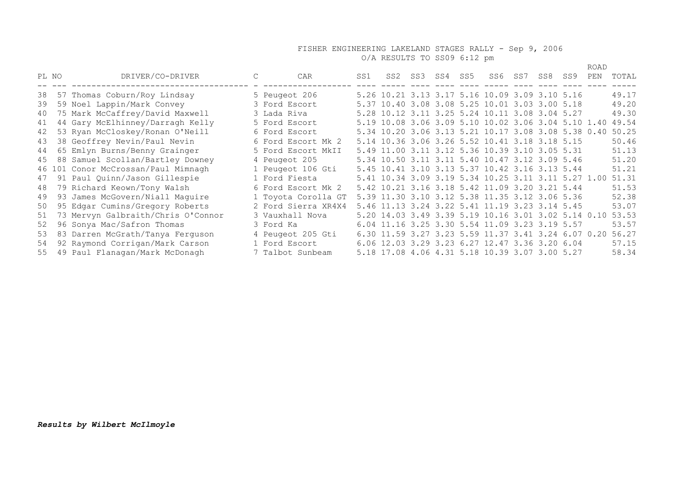#### FISHER ENGINEERING LAKELAND STAGES RALLY - Sep 9, 2006 O/A RESULTS TO SS09 6:12 pm

 ROAD PL NO DRIVER/CO-DRIVER C CAR SS1 SS2 SS3 SS4 SS5 SS6 SS7 SS8 SS9 PEN TOTAL -- --- ------------------------------------ - ------------------ ---- ----- ---- ---- ---- ----- ---- ---- ---- ---- ----- 38 57 Thomas Coburn/Roy Lindsay 5 Peugeot 206 5.26 10.21 3.13 3.17 5.16 10.09 3.09 3.10 5.16 49.17 39 59 Noel Lappin/Mark Convey 3 Ford Escort 5.37 10.40 3.08 3.08 5.25 10.01 3.03 3.00 5.18 49.20 40 75 Mark McCaffrey/David Maxwell 3 Lada Riva 5.28 10.12 3.11 3.25 5.24 10.11 3.08 3.04 5.27 49.30 41 44 Gary McElhinney/Darragh Kelly 5 Ford Escort 5.19 10.08 3.06 3.09 5.10 10.02 3.06 3.04 5.10 1.40 49.54 42 53 Ryan McCloskey/Ronan O'Neill 6 Ford Escort 5.34 10.20 3.06 3.13 5.21 10.17 3.08 3.08 5.38 0.40 50.25 43 38 Geoffrey Nevin/Paul Nevin 6 Ford Escort Mk 2 5.14 10.36 3.06 3.26 5.52 10.41 3.18 3.18 5.15 50.46 44 65 Emlyn Burns/Benny Grainger 5 Ford Escort MkII 5.49 11.00 3.11 3.12 5.36 10.39 3.10 3.05 5.31 51.13 45 88 Samuel Scollan/Bartley Downey 4 Peugeot 205 5.34 10.50 3.11 3.11 5.40 10.47 3.12 3.09 5.46 51.20 46 101 Conor McCrossan/Paul Mimnagh 1 Peugeot 106 Gti 5.45 10.41 3.10 3.13 5.37 10.42 3.16 3.13 5.44 51.21 47 91 Paul Quinn/Jason Gillespie 1 Ford Fiesta 5.41 10.34 3.09 3.19 5.34 10.25 3.11 3.11 5.27 1.00 51.31 48 79 Richard Keown/Tony Walsh 6 Ford Escort Mk 2 5.42 10.21 3.16 3.18 5.42 11.09 3.20 3.21 5.44 51.53 49 93 James McGovern/Niall Maguire 1 Toyota Corolla GT 5.39 11.30 3.10 3.12 5.38 11.35 3.12 3.06 5.36 52.38 50 95 Edgar Cumins/Gregory Roberts 2 Ford Sierra XR4X4 5.46 11.13 3.24 3.22 5.41 11.19 3.23 3.14 5.45 53.07 51 73 Mervyn Galbraith/Chris O'Connor 3 Vauxhall Nova 5.20 14.03 3.49 3.39 5.19 10.16 3.01 3.02 5.14 0.10 53.53 52 96 Sonya Mac/Safron Thomas 3 Ford Ka 6.04 11.16 3.25 3.30 5.54 11.09 3.23 3.19 5.57 53.57 53 83 Darren McGrath/Tanya Ferguson 4 Peugeot 205 Gti 6.30 11.59 3.27 3.23 5.59 11.37 3.41 3.24 6.07 0.20 56.27 53 83 Darren McGrath/Tanya Ferguson 4 Peugeot 205 Gti 6.30 11.59 3.27 3.23 5.59 11.37 3.41 3.24 6.07 0.20 56.27<br>54 92 Raymond Corrigan/Mark Carson 1 Ford Escort 6.06 12.03 3.29 3.23 6.27 12.47 3.36 3.20 6.04 57.15 55 49 Paul Flanagan/Mark McDonagh 7 Talbot Sunbeam 5.18 17.08 4.06 4.31 5.18 10.39 3.07 3.00 5.27 58.34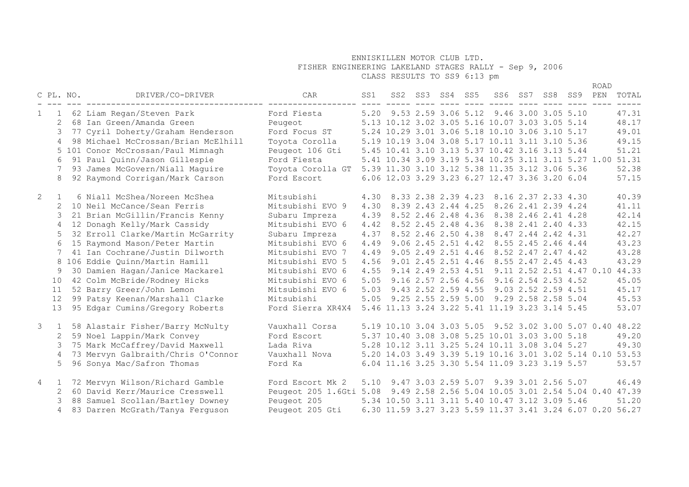FISHER ENGINEERING LAKELAND STAGES RALLY - Sep 9, 2006

CLASS RESULTS TO SS9 6:13 pm

|                |                |           |                                                                  |                         |      |                 |                       |                                                           |         |                          |         | <b>ROAD</b> |       |
|----------------|----------------|-----------|------------------------------------------------------------------|-------------------------|------|-----------------|-----------------------|-----------------------------------------------------------|---------|--------------------------|---------|-------------|-------|
|                |                | C PL. NO. | DRIVER/CO-DRIVER                                                 | CAR                     | SS1  | SS2 SS3 SS4 SS5 |                       |                                                           | SS6 SS7 | SS8                      | SS9 PEN |             | TOTAL |
|                |                |           | 1 62 Liam Regan/Steven Park                                      | Ford Fiesta             |      |                 |                       | 5.20 9.53 2.59 3.06 5.12 9.46 3.00 3.05 5.10              |         |                          |         |             | 47.31 |
|                | 2              |           | 68 Ian Green/Amanda Green                                        | Peugeot                 |      |                 |                       | 5.13 10.12 3.02 3.05 5.16 10.07 3.03 3.05 5.14            |         |                          |         |             | 48.17 |
|                | 3              |           | 77 Cyril Doherty/Graham Henderson                                | Ford Focus ST           |      |                 |                       | 5.24 10.29 3.01 3.06 5.18 10.10 3.06 3.10 5.17            |         |                          |         |             | 49.01 |
|                | 4              |           | 98 Michael McCrossan/Brian McElhill                              | Toyota Corolla          |      |                 |                       | 5.19 10.19 3.04 3.08 5.17 10.11 3.11 3.10 5.36            |         |                          |         |             | 49.15 |
|                |                |           | 5 101 Conor McCrossan/Paul Mimnagh                               | Peugeot 106 Gti         |      |                 |                       | 5.45 10.41 3.10 3.13 5.37 10.42 3.16 3.13 5.44            |         |                          |         |             | 51.21 |
|                | 6              |           | 91 Paul Quinn/Jason Gillespie                                    | Ford Fiesta             |      |                 |                       | 5.41 10.34 3.09 3.19 5.34 10.25 3.11 3.11 5.27 1.00 51.31 |         |                          |         |             |       |
|                |                |           | 93 James McGovern/Niall Maguire                                  | Toyota Corolla GT       |      |                 |                       | 5.39 11.30 3.10 3.12 5.38 11.35 3.12 3.06 5.36            |         |                          |         |             | 52.38 |
|                | 8              |           | 92 Raymond Corrigan/Mark Carson                                  | Ford Escort             |      |                 |                       | 6.06 12.03 3.29 3.23 6.27 12.47 3.36 3.20 6.04            |         |                          |         |             | 57.15 |
|                |                |           |                                                                  |                         |      |                 |                       |                                                           |         |                          |         |             |       |
| $\overline{2}$ | $\mathbf{1}$   |           | 6 Niall McShea/Noreen McShea                                     | Mitsubishi              | 4.30 |                 |                       | 8.33 2.38 2.39 4.23 8.16 2.37 2.33 4.30                   |         |                          |         |             | 40.39 |
|                | 2              |           | 10 Neil McCance/Sean Ferris                                      | Mitsubishi EVO 9        | 4.30 |                 | 8.39 2.43 2.44 4.25   |                                                           |         | 8.26 2.41 2.39 4.24      |         |             | 41.11 |
|                | 3              |           | 21 Brian McGillin/Francis Kenny                                  | Subaru Impreza          | 4.39 |                 | 8.52 2.46 2.48 4.36   | 8.38 2.46 2.41 4.28                                       |         |                          |         |             | 42.14 |
|                | 4              |           | 12 Donagh Kelly/Mark Cassidy                                     | Mitsubishi EVO 6        | 4.42 |                 | 8.52 2.45 2.48 4.36   | 8.38 2.41 2.40 4.33                                       |         |                          |         |             | 42.15 |
|                | 5              |           | 32 Erroll Clarke/Martin McGarrity                                | Subaru Impreza          | 4.37 |                 |                       | 8.52 2.46 2.50 4.38 8.47 2.44 2.42 4.31                   |         |                          |         |             | 42.27 |
|                | 6              |           | 15 Raymond Mason/Peter Martin                                    | Mitsubishi EVO 6        | 4.49 |                 | $9.06$ 2.45 2.51 4.42 | 8.55 2.45 2.46 4.44                                       |         |                          |         |             | 43.23 |
|                | 7              |           | 41 Ian Cochrane/Justin Dilworth                                  | Mitsubishi EVO 7        | 4.49 |                 |                       | 9.05 2.49 2.51 4.46 8.52 2.47 2.47 4.42                   |         |                          |         |             | 43.28 |
|                |                |           | 8 106 Eddie Quinn/Martin Hamill                                  | Mitsubishi EVO 5        | 4.56 |                 |                       | 9.01 2.45 2.51 4.46 8.55 2.47 2.45 4.43                   |         |                          |         |             | 43.29 |
|                | 9              |           | 30 Damien Hagan/Janice Mackarel                                  | Mitsubishi EVO 6        | 4.55 |                 | 9.14 2.49 2.53 4.51   |                                                           |         | 9.11 2.52 2.51 4.47 0.10 |         |             | 44.33 |
|                | 1 O            |           | 42 Colm McBride/Rodney Hicks                                     | Mitsubishi EVO 6        | 5.05 |                 | 9.16 2.57 2.56 4.56   | 9.16 2.54 2.53 4.52                                       |         |                          |         |             | 45.05 |
|                | 11             |           | 52 Barry Greer/John Lemon                                        | Mitsubishi EVO 6        | 5.03 |                 | 9.43 2.52 2.59 4.55   | 9.03 2.52 2.59 4.51                                       |         |                          |         |             | 45.17 |
|                | 12             |           | 99 Patsy Keenan/Marshall Clarke                                  | Mitsubishi              | 5.05 |                 | 9.25 2.55 2.59 5.00   | 9.29 2.58 2.58 5.04                                       |         |                          |         |             | 45.53 |
|                | 13             |           | 95 Edgar Cumins/Gregory Roberts                                  | Ford Sierra XR4X4       |      |                 |                       | 5.46 11.13 3.24 3.22 5.41 11.19 3.23 3.14 5.45            |         |                          |         |             | 53.07 |
|                |                |           |                                                                  | Vauxhall Corsa          |      |                 |                       | 5.19 10.10 3.04 3.03 5.05 9.52 3.02 3.00 5.07 0.40 48.22  |         |                          |         |             |       |
| 3              | 1<br>2         |           | 58 Alastair Fisher/Barry McNulty                                 | Ford Escort             |      |                 |                       | 5.37 10.40 3.08 3.08 5.25 10.01 3.03 3.00 5.18            |         |                          |         |             | 49.20 |
|                | 3              |           | 59 Noel Lappin/Mark Convey<br>75 Mark McCaffrey/David Maxwell    | Lada Riva               |      |                 |                       | 5.28 10.12 3.11 3.25 5.24 10.11 3.08 3.04 5.27            |         |                          |         |             | 49.30 |
|                | 4              |           |                                                                  | Vauxhall Nova           |      |                 |                       | 5.20 14.03 3.49 3.39 5.19 10.16 3.01 3.02 5.14 0.10 53.53 |         |                          |         |             |       |
|                | 5              |           | 73 Mervyn Galbraith/Chris O'Connor<br>96 Sonya Mac/Safron Thomas | Ford Ka                 |      |                 |                       | 6.04 11.16 3.25 3.30 5.54 11.09 3.23 3.19 5.57            |         |                          |         |             | 53.57 |
|                |                |           |                                                                  |                         |      |                 |                       |                                                           |         |                          |         |             |       |
| $\overline{4}$ | $\mathbf{1}$   |           | 72 Mervyn Wilson/Richard Gamble                                  | Ford Escort Mk 2        | 5.10 |                 |                       | 9.47 3.03 2.59 5.07 9.39 3.01 2.56 5.07                   |         |                          |         |             | 46.49 |
|                | 2              |           | 60 David Kerr/Maurice Cresswell                                  | Peugeot 205 1.6Gti 5.08 |      |                 |                       | 9.49 2.58 2.56 5.04 10.05 3.01 2.54 5.04 0.40 47.39       |         |                          |         |             |       |
|                | 3              |           | 88 Samuel Scollan/Bartley Downey                                 | Peugeot 205             |      |                 |                       | 5.34 10.50 3.11 3.11 5.40 10.47 3.12 3.09 5.46            |         |                          |         |             | 51.20 |
|                | $\overline{4}$ |           | 83 Darren McGrath/Tanya Ferguson                                 | Peugeot 205 Gti         |      |                 |                       | 6.30 11.59 3.27 3.23 5.59 11.37 3.41 3.24 6.07 0.20 56.27 |         |                          |         |             |       |
|                |                |           |                                                                  |                         |      |                 |                       |                                                           |         |                          |         |             |       |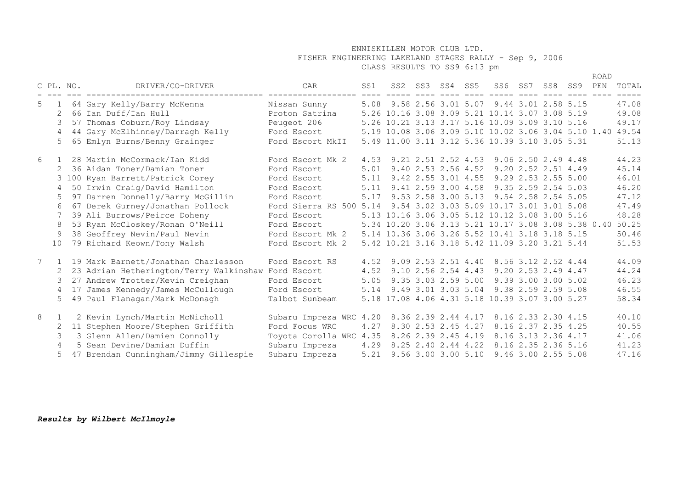## FISHER ENGINEERING LAKELAND STAGES RALLY - Sep 9, 2006

CLASS RESULTS TO SS9 6:13 pm

|                |                 |                                     |                                                       |                         |     |                                                                  |      |                          |                 |                     |                                                           |                     | <b>ROAD</b> |       |
|----------------|-----------------|-------------------------------------|-------------------------------------------------------|-------------------------|-----|------------------------------------------------------------------|------|--------------------------|-----------------|---------------------|-----------------------------------------------------------|---------------------|-------------|-------|
|                |                 | C PL. NO.                           | DRIVER/CO-DRIVER                                      |                         | CAR |                                                                  | SS1  |                          | SS2 SS3 SS4 SS5 |                     |                                                           | SS6 SS7 SS8 SS9 PEN |             | TOTAL |
| 5              | 1               | 64 Gary Kelly/Barry McKenna         |                                                       | Nissan Sunny            |     |                                                                  |      |                          |                 |                     | 5.08 9.58 2.56 3.01 5.07 9.44 3.01 2.58 5.15              |                     |             | 47.08 |
|                | 2               | 66 Ian Duff/Ian Hull                |                                                       | Proton Satrina          |     |                                                                  |      |                          |                 |                     | 5.26 10.16 3.08 3.09 5.21 10.14 3.07 3.08 5.19            |                     |             | 49.08 |
|                | 3               | 57 Thomas Coburn/Roy Lindsay        |                                                       | Peugeot 206             |     |                                                                  |      |                          |                 |                     | 5.26 10.21 3.13 3.17 5.16 10.09 3.09 3.10 5.16            |                     |             | 49.17 |
|                | $\overline{4}$  | 44 Gary McElhinney/Darragh Kelly    |                                                       | Ford Escort             |     |                                                                  |      |                          |                 |                     | 5.19 10.08 3.06 3.09 5.10 10.02 3.06 3.04 5.10 1.40 49.54 |                     |             |       |
|                | 5               | 65 Emlyn Burns/Benny Grainger       |                                                       | Ford Escort MkII        |     |                                                                  |      |                          |                 |                     | 5.49 11.00 3.11 3.12 5.36 10.39 3.10 3.05 5.31            |                     |             | 51.13 |
| 6              | 1               | 28 Martin McCormack/Ian Kidd        |                                                       | Ford Escort Mk 2        |     |                                                                  |      |                          |                 |                     | 4.53 9.21 2.51 2.52 4.53 9.06 2.50 2.49 4.48              |                     |             | 44.23 |
|                | 2               | 36 Aidan Toner/Damian Toner         |                                                       | Ford Escort             |     |                                                                  | 5.01 |                          |                 |                     | 9.40 2.53 2.56 4.52 9.20 2.52 2.51 4.49                   |                     |             | 45.14 |
|                |                 | 3 100 Ryan Barrett/Patrick Corey    |                                                       | Ford Escort             |     |                                                                  | 5.11 |                          |                 |                     | 9.42 2.55 3.01 4.55 9.29 2.53 2.55 5.00                   |                     |             | 46.01 |
|                | $\overline{4}$  | 50 Irwin Craig/David Hamilton       |                                                       | Ford Escort             |     |                                                                  |      |                          |                 |                     | 5.11 9.41 2.59 3.00 4.58 9.35 2.59 2.54 5.03              |                     |             | 46.20 |
|                | 5               | 97 Darren Donnelly/Barry McGillin   |                                                       | Ford Escort             |     |                                                                  |      |                          |                 |                     | 5.17 9.53 2.58 3.00 5.13 9.54 2.58 2.54 5.05              |                     |             | 47.12 |
|                | 6               | 67 Derek Gurney/Jonathan Pollock    |                                                       |                         |     | Ford Sierra RS 500 5.14 9.54 3.02 3.03 5.09 10.17 3.01 3.01 5.08 |      |                          |                 |                     |                                                           |                     |             | 47.49 |
|                |                 | 39 Ali Burrows/Peirce Doheny        |                                                       | Ford Escort             |     |                                                                  |      |                          |                 |                     | 5.13 10.16 3.06 3.05 5.12 10.12 3.08 3.00 5.16            |                     |             | 48.28 |
|                | 8               | 53 Ryan McCloskey/Ronan O'Neill     |                                                       | Ford Escort             |     |                                                                  |      |                          |                 |                     | 5.34 10.20 3.06 3.13 5.21 10.17 3.08 3.08 5.38 0.40 50.25 |                     |             |       |
|                | 9               | 38 Geoffrey Nevin/Paul Nevin        |                                                       | Ford Escort Mk 2        |     |                                                                  |      |                          |                 |                     | 5.14 10.36 3.06 3.26 5.52 10.41 3.18 3.18 5.15            |                     |             | 50.46 |
|                | 10 <sup>°</sup> | 79 Richard Keown/Tony Walsh         |                                                       | Ford Escort Mk 2        |     |                                                                  |      |                          |                 |                     | 5.42 10.21 3.16 3.18 5.42 11.09 3.20 3.21 5.44            |                     |             | 51.53 |
| $7\phantom{0}$ |                 | 19 Mark Barnett/Jonathan Charlesson |                                                       | Ford Escort RS          |     |                                                                  |      |                          |                 |                     | 4.52 9.09 2.53 2.51 4.40 8.56 3.12 2.52 4.44              |                     |             | 44.09 |
|                |                 |                                     | 2 23 Adrian Hetherington/Terry Walkinshaw Ford Escort |                         |     |                                                                  |      |                          |                 |                     | 4.52 9.10 2.56 2.54 4.43 9.20 2.53 2.49 4.47              |                     |             | 44.24 |
|                | 3               | 27 Andrew Trotter/Kevin Creighan    |                                                       | Ford Escort             |     |                                                                  |      |                          |                 |                     | 5.05 9.35 3.03 2.59 5.00 9.39 3.00 3.00 5.02              |                     |             | 46.23 |
|                | $\overline{4}$  | 17 James Kennedy/James McCullough   |                                                       | Ford Escort             |     |                                                                  |      |                          |                 |                     | 5.14 9.49 3.01 3.03 5.04 9.38 2.59 2.59 5.08              |                     |             | 46.55 |
|                | 5 <sup>1</sup>  | 49 Paul Flanagan/Mark McDonagh      |                                                       | Talbot Sunbeam          |     |                                                                  |      |                          |                 |                     | 5.18 17.08 4.06 4.31 5.18 10.39 3.07 3.00 5.27            |                     |             | 58.34 |
| 8              | $\mathbf{1}$    | 2 Kevin Lynch/Martin McNicholl      |                                                       |                         |     | Subaru Impreza WRC 4.20 8.36 2.39 2.44 4.17 8.16 2.33 2.30 4.15  |      |                          |                 |                     |                                                           |                     |             | 40.10 |
|                | 2               | 11 Stephen Moore/Stephen Griffith   |                                                       | Ford Focus WRC          |     |                                                                  | 4.27 |                          |                 | 8.30 2.53 2.45 4.27 |                                                           | 8.16 2.37 2.35 4.25 |             | 40.55 |
|                | 3               | 3 Glenn Allen/Damien Connolly       |                                                       | Toyota Corolla WRC 4.35 |     |                                                                  |      | 8.26 2.39 2.45 4.19      |                 |                     |                                                           | 8.16 3.13 2.36 4.17 |             | 41.06 |
|                | $\overline{4}$  | 5 Sean Devine/Damian Duffin         |                                                       | Subaru Impreza          |     |                                                                  |      | 4.29 8.25 2.40 2.44 4.22 |                 |                     |                                                           | 8.16 2.35 2.36 5.16 |             | 41.23 |
|                | 5               |                                     | 47 Brendan Cunningham/Jimmy Gillespie                 | Subaru Impreza          |     |                                                                  |      | 5.21 9.56 3.00 3.00 5.10 |                 |                     |                                                           | 9.46 3.00 2.55 5.08 |             | 47.16 |

*Results by Wilbert McIlmoyle*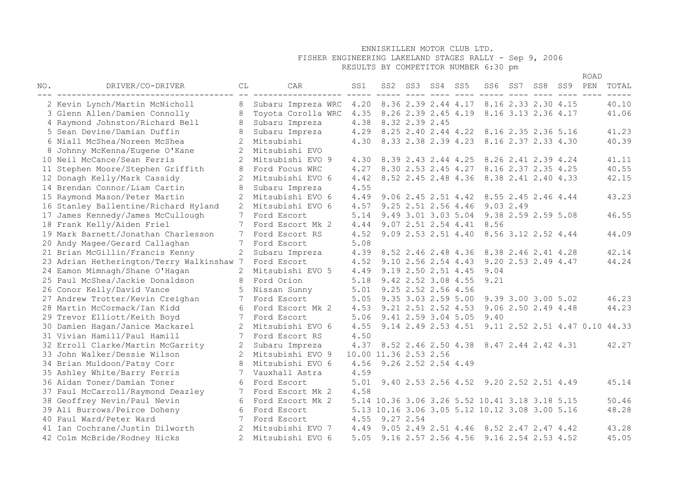# FISHER ENGINEERING LAKELAND STAGES RALLY - Sep 9, 2006

RESULTS BY COMPETITOR NUMBER 6:30 pm

|     |                                           |                |                    |      |                                                |     |                     |                 |                                                    |     |                     |     | <b>ROAD</b> |       |
|-----|-------------------------------------------|----------------|--------------------|------|------------------------------------------------|-----|---------------------|-----------------|----------------------------------------------------|-----|---------------------|-----|-------------|-------|
| NO. | DRIVER/CO-DRIVER                          | СL             | CAR                | SS1  | SS2                                            | SS3 | SS4                 | SS <sub>5</sub> | SS6                                                | SS7 | SS8                 | SS9 | PEN         | TOTAL |
|     | 2 Kevin Lynch/Martin McNicholl            | 8              | Subaru Impreza WRC | 4.20 |                                                |     |                     |                 | 8.36 2.39 2.44 4.17 8.16 2.33 2.30 4.15            |     |                     |     |             | 40.10 |
|     | 3 Glenn Allen/Damien Connolly             | 8              | Toyota Corolla WRC | 4.35 |                                                |     |                     |                 | 8.26 2.39 2.45 4.19 8.16 3.13 2.36 4.17            |     |                     |     |             | 41.06 |
|     | 4 Raymond Johnston/Richard Bell           |                | Subaru Impreza     | 4.38 | 8.32 2.39 2.45                                 |     |                     |                 |                                                    |     |                     |     |             |       |
|     | 5 Sean Devine/Damian Duffin               |                | Subaru Impreza     | 4.29 |                                                |     |                     |                 | 8.25 2.40 2.44 4.22 8.16 2.35 2.36 5.16            |     |                     |     |             | 41.23 |
|     | 6 Niall McShea/Noreen McShea              | $\mathcal{L}$  | Mitsubishi         | 4.30 |                                                |     |                     |                 | 8.33 2.38 2.39 4.23 8.16 2.37 2.33 4.30            |     |                     |     |             | 40.39 |
|     | 8 Johnny McKenna/Eugene O'Kane            | $\overline{2}$ | Mitsubishi EVO     |      |                                                |     |                     |                 |                                                    |     |                     |     |             |       |
|     | 10 Neil McCance/Sean Ferris               |                | Mitsubishi EVO 9   | 4.30 |                                                |     | 8.39 2.43 2.44 4.25 |                 | 8.26 2.41 2.39 4.24                                |     |                     |     |             | 41.11 |
|     | 11 Stephen Moore/Stephen Griffith         | 8              | Ford Focus WRC     | 4.27 |                                                |     | 8.30 2.53 2.45 4.27 |                 |                                                    |     | 8.16 2.37 2.35 4.25 |     |             | 40.55 |
|     | 12 Donagh Kelly/Mark Cassidy              |                | Mitsubishi EVO 6   | 4.42 |                                                |     | 8.52 2.45 2.48 4.36 |                 | 8.38 2.41 2.40 4.33                                |     |                     |     |             | 42.15 |
|     | 14 Brendan Connor/Liam Cartin             | 8              | Subaru Impreza     | 4.55 |                                                |     |                     |                 |                                                    |     |                     |     |             |       |
|     | 15 Raymond Mason/Peter Martin             | 2              | Mitsubishi EVO 6   | 4.49 |                                                |     |                     |                 | 9.06 2.45 2.51 4.42 8.55 2.45 2.46 4.44            |     |                     |     |             | 43.23 |
|     | 16 Stanley Ballentine/Richard Hyland      |                | Mitsubishi EVO 6   | 4.57 |                                                |     | 9.25 2.51 2.56 4.46 |                 | 9.032.49                                           |     |                     |     |             |       |
|     | 17 James Kennedy/James McCullough         | 7              | Ford Escort        | 5.14 |                                                |     | 9.49 3.01 3.03 5.04 |                 | 9.38 2.59 2.59 5.08                                |     |                     |     |             | 46.55 |
|     | 18 Frank Kelly/Aiden Friel                | 7              | Ford Escort Mk 2   | 4.44 |                                                |     | 9.07 2.51 2.54 4.41 |                 | 8.56                                               |     |                     |     |             |       |
|     | 19 Mark Barnett/Jonathan Charlesson       | 7              | Ford Escort RS     | 4.52 |                                                |     | 9.09 2.53 2.51 4.40 |                 | 8.56 3.12 2.52 4.44                                |     |                     |     |             | 44.09 |
|     | 20 Andy Magee/Gerard Callaghan            | 7              | Ford Escort        | 5.08 |                                                |     |                     |                 |                                                    |     |                     |     |             |       |
|     | 21 Brian McGillin/Francis Kenny           | $\overline{2}$ | Subaru Impreza     | 4.39 |                                                |     | 8.52 2.46 2.48 4.36 |                 | 8.38 2.46 2.41 4.28                                |     |                     |     |             | 42.14 |
|     | 23 Adrian Hetherington/Terry Walkinshaw 7 |                | Ford Escort        | 4.52 |                                                |     | 9.10 2.56 2.54 4.43 |                 |                                                    |     | 9.20 2.53 2.49 4.47 |     |             | 44.24 |
|     | 24 Eamon Mimnagh/Shane O'Hagan            |                | Mitsubishi EVO 5   | 4.49 |                                                |     | 9.19 2.50 2.51 4.45 |                 | 9.04                                               |     |                     |     |             |       |
|     | 25 Paul McShea/Jackie Donaldson           |                | Ford Orion         | 5.18 |                                                |     | 9.42 2.52 3.08 4.55 |                 | 9.21                                               |     |                     |     |             |       |
|     | 26 Conor Kelly/David Vance                |                | Nissan Sunny       | 5.01 |                                                |     | 9.25 2.52 2.56 4.56 |                 |                                                    |     |                     |     |             |       |
|     | 27 Andrew Trotter/Kevin Creighan          | 7              | Ford Escort        | 5.05 |                                                |     | 9.35 3.03 2.59 5.00 |                 |                                                    |     | 9.39 3.00 3.00 5.02 |     |             | 46.23 |
|     | 28 Martin McCormack/Ian Kidd              | 6              | Ford Escort Mk 2   | 4.53 |                                                |     | 9.21 2.51 2.52 4.53 |                 |                                                    |     | 9.06 2.50 2.49 4.48 |     |             | 44.23 |
|     | 29 Trevor Elliott/Keith Boyd              | 7              | Ford Escort        | 5.06 |                                                |     | 9.41 2.59 3.04 5.05 |                 | 9.40                                               |     |                     |     |             |       |
|     | 30 Damien Hagan/Janice Mackarel           | 2              | Mitsubishi EVO 6   | 4.55 |                                                |     |                     |                 | 9.14 2.49 2.53 4.51 9.11 2.52 2.51 4.47 0.10 44.33 |     |                     |     |             |       |
|     | 31 Vivian Hamill/Paul Hamill              |                | Ford Escort RS     | 4.50 |                                                |     |                     |                 |                                                    |     |                     |     |             |       |
|     | 32 Erroll Clarke/Martin McGarrity         |                | Subaru Impreza     | 4.37 |                                                |     |                     |                 | 8.52 2.46 2.50 4.38 8.47 2.44 2.42 4.31            |     |                     |     |             | 42.27 |
|     | 33 John Walker/Dessie Wilson              | 2              | Mitsubishi EVO 9   |      | 10.00 11.36 2.53 2.56                          |     |                     |                 |                                                    |     |                     |     |             |       |
|     | 34 Brian Muldoon/Patsy Corr               |                | Mitsubishi EVO 6   | 4.56 |                                                |     | 9.26 2.52 2.54 4.49 |                 |                                                    |     |                     |     |             |       |
|     | 35 Ashley White/Barry Ferris              |                | Vauxhall Astra     | 4.59 |                                                |     |                     |                 |                                                    |     |                     |     |             |       |
|     | 36 Aidan Toner/Damian Toner               | 6              | Ford Escort        | 5.01 |                                                |     |                     |                 | 9.40 2.53 2.56 4.52 9.20 2.52 2.51 4.49            |     |                     |     |             | 45.14 |
|     | 37 Paul McCarroll/Raymond Deazley         | 7              | Ford Escort Mk 2   | 4.58 |                                                |     |                     |                 |                                                    |     |                     |     |             |       |
|     | 38 Geoffrey Nevin/Paul Nevin              | 6              | Ford Escort Mk 2   |      | 5.14 10.36 3.06 3.26 5.52 10.41 3.18 3.18 5.15 |     |                     |                 |                                                    |     |                     |     |             | 50.46 |
|     | 39 Ali Burrows/Peirce Doheny              | 6              | Ford Escort        |      | 5.13 10.16 3.06 3.05 5.12 10.12 3.08 3.00 5.16 |     |                     |                 |                                                    |     |                     |     |             | 48.28 |
|     | 40 Paul Ward/Peter Ward                   | 7              | Ford Escort        | 4.55 | 9.27 2.54                                      |     |                     |                 |                                                    |     |                     |     |             |       |
|     | 41 Ian Cochrane/Justin Dilworth           | 2              | Mitsubishi EVO 7   | 4.49 |                                                |     | 9.05 2.49 2.51 4.46 |                 |                                                    |     | 8.52 2.47 2.47 4.42 |     |             | 43.28 |
|     | 42 Colm McBride/Rodney Hicks              | $\mathfrak{D}$ | Mitsubishi EVO 6   | 5.05 |                                                |     |                     |                 | 9.16 2.57 2.56 4.56 9.16 2.54 2.53 4.52            |     |                     |     |             | 45.05 |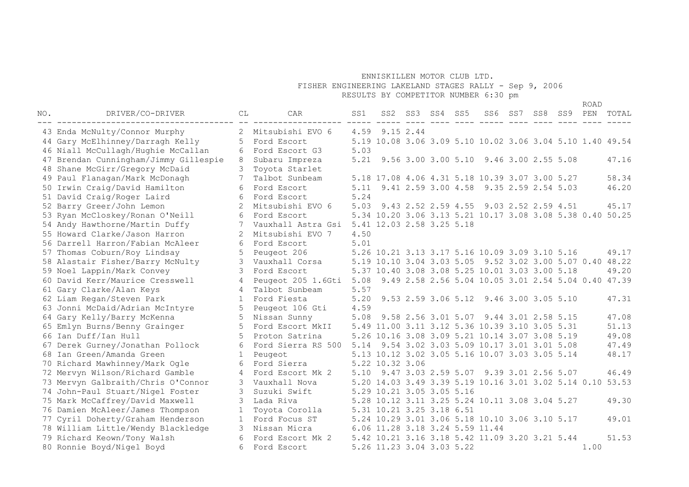FISHER ENGINEERING LAKELAND STAGES RALLY - Sep 9, 2006

RESULTS BY COMPETITOR NUMBER 6:30 pm

| NO. | DRIVER/CO-DRIVER                                                       | CL           | CAR                              | SS1  |                                                           | SS2 SS3 SS4 | SS5 |                                                     | SS6 SS7 SS8 | SS9 PEN | <b>ROAD</b> | TOTAL |
|-----|------------------------------------------------------------------------|--------------|----------------------------------|------|-----------------------------------------------------------|-------------|-----|-----------------------------------------------------|-------------|---------|-------------|-------|
|     |                                                                        |              |                                  |      |                                                           |             |     |                                                     |             |         |             |       |
|     | 43 Enda McNulty/Connor Murphy                                          | 2<br>5       | Mitsubishi EVO 6<br>Ford Escort  |      | 4.59 9.15 2.44                                            |             |     |                                                     |             |         |             |       |
|     | 44 Gary McElhinney/Darragh Kelly<br>46 Niall McCullagh/Hughie McCallan | 6            | Ford Escort G3                   | 5.03 | 5.19 10.08 3.06 3.09 5.10 10.02 3.06 3.04 5.10 1.40 49.54 |             |     |                                                     |             |         |             |       |
|     | 47 Brendan Cunningham/Jimmy Gillespie                                  | 8            |                                  | 5.21 |                                                           |             |     | 9.56 3.00 3.00 5.10 9.46 3.00 2.55 5.08             |             |         |             | 47.16 |
|     | 48 Shane McGirr/Gregory McDaid                                         | 3            | Subaru Impreza                   |      |                                                           |             |     |                                                     |             |         |             |       |
|     | 49 Paul Flanagan/Mark McDonagh                                         | 7            | Toyota Starlet<br>Talbot Sunbeam |      | 5.18 17.08 4.06 4.31 5.18 10.39 3.07 3.00 5.27            |             |     |                                                     |             |         |             | 58.34 |
|     | 50 Irwin Craig/David Hamilton                                          | 6            | Ford Escort                      |      | 5.11 9.41 2.59 3.00 4.58 9.35 2.59 2.54 5.03              |             |     |                                                     |             |         |             | 46.20 |
|     | 51 David Craig/Roger Laird                                             | 6            | Ford Escort                      | 5.24 |                                                           |             |     |                                                     |             |         |             |       |
|     | 52 Barry Greer/John Lemon                                              | 2            | Mitsubishi EVO 6                 | 5.03 |                                                           |             |     | 9.43 2.52 2.59 4.55 9.03 2.52 2.59 4.51             |             |         |             | 45.17 |
|     | 53 Ryan McCloskey/Ronan O'Neill                                        | 6            | Ford Escort                      |      | 5.34 10.20 3.06 3.13 5.21 10.17 3.08 3.08 5.38 0.40 50.25 |             |     |                                                     |             |         |             |       |
|     | 54 Andy Hawthorne/Martin Duffy                                         |              | Vauxhall Astra Gsi               |      | 5.41 12.03 2.58 3.25 5.18                                 |             |     |                                                     |             |         |             |       |
|     | 55 Howard Clarke/Jason Harron                                          | 2            | Mitsubishi EVO 7                 | 4.50 |                                                           |             |     |                                                     |             |         |             |       |
|     | 56 Darrell Harron/Fabian McAleer                                       | 6            | Ford Escort                      | 5.01 |                                                           |             |     |                                                     |             |         |             |       |
|     | 57 Thomas Coburn/Roy Lindsay                                           | 5            | Peugeot 206                      |      | 5.26 10.21 3.13 3.17 5.16 10.09 3.09 3.10 5.16            |             |     |                                                     |             |         |             | 49.17 |
|     | 58 Alastair Fisher/Barry McNulty                                       | 3            | Vauxhall Corsa                   |      | 5.19 10.10 3.04 3.03 5.05 9.52 3.02 3.00 5.07 0.40 48.22  |             |     |                                                     |             |         |             |       |
|     | 59 Noel Lappin/Mark Convey                                             | 3            | Ford Escort                      |      | 5.37 10.40 3.08 3.08 5.25 10.01 3.03 3.00 5.18            |             |     |                                                     |             |         |             | 49.20 |
|     | 60 David Kerr/Maurice Cresswell                                        | 4            | Peugeot 205 1.6Gti               | 5.08 |                                                           |             |     | 9.49 2.58 2.56 5.04 10.05 3.01 2.54 5.04 0.40 47.39 |             |         |             |       |
|     | 61 Gary Clarke/Alan Keys                                               | 4            | Talbot Sunbeam                   | 5.57 |                                                           |             |     |                                                     |             |         |             |       |
|     | 62 Liam Regan/Steven Park                                              | $\mathbf{1}$ | Ford Fiesta                      | 5.20 |                                                           |             |     | 9.53 2.59 3.06 5.12 9.46 3.00 3.05 5.10             |             |         |             | 47.31 |
|     | 63 Jonni McDaid/Adrian McIntyre                                        | .5           | Peugeot 106 Gti                  | 4.59 |                                                           |             |     |                                                     |             |         |             |       |
|     | 64 Gary Kelly/Barry McKenna                                            | 5            | Nissan Sunny                     | 5.08 |                                                           |             |     | 9.58 2.56 3.01 5.07 9.44 3.01 2.58 5.15             |             |         |             | 47.08 |
|     | 65 Emlyn Burns/Benny Grainger                                          | 5            | Ford Escort MkII                 |      | 5.49 11.00 3.11 3.12 5.36 10.39 3.10 3.05 5.31            |             |     |                                                     |             |         |             | 51.13 |
|     | 66 Ian Duff/Ian Hull                                                   | .5           | Proton Satrina                   |      | 5.26 10.16 3.08 3.09 5.21 10.14 3.07 3.08 5.19            |             |     |                                                     |             |         |             | 49.08 |
|     | 67 Derek Gurney/Jonathan Pollock                                       | 6            | Ford Sierra RS 500               |      | 5.14 9.54 3.02 3.03 5.09 10.17 3.01 3.01 5.08             |             |     |                                                     |             |         |             | 47.49 |
|     | 68 Ian Green/Amanda Green                                              | 1            | Peugeot                          |      | 5.13 10.12 3.02 3.05 5.16 10.07 3.03 3.05 5.14            |             |     |                                                     |             |         |             | 48.17 |
|     | 70 Richard Mawhinney/Mark Ogle                                         | 6            | Ford Sierra                      |      | 5.22 10.32 3.06                                           |             |     |                                                     |             |         |             |       |
|     | 72 Mervyn Wilson/Richard Gamble                                        | 4            | Ford Escort Mk 2                 |      | 5.10 9.47 3.03 2.59 5.07 9.39 3.01 2.56 5.07              |             |     |                                                     |             |         |             | 46.49 |
|     | 73 Mervyn Galbraith/Chris O'Connor                                     |              | Vauxhall Nova                    |      | 5.20 14.03 3.49 3.39 5.19 10.16 3.01 3.02 5.14 0.10       |             |     |                                                     |             |         |             | 53.53 |
|     | 74 John-Paul Stuart/Nigel Foster                                       | 3            | Suzuki Swift                     |      | 5.29 10.21 3.05 3.05 5.16                                 |             |     |                                                     |             |         |             |       |
|     | 75 Mark McCaffrey/David Maxwell                                        | 3            | Lada Riva                        |      | 5.28 10.12 3.11 3.25 5.24 10.11 3.08 3.04 5.27            |             |     |                                                     |             |         |             | 49.30 |
|     | 76 Damien McAleer/James Thompson                                       |              | Toyota Corolla                   |      | 5.31 10.21 3.25 3.18 6.51                                 |             |     |                                                     |             |         |             |       |
|     | 77 Cyril Doherty/Graham Henderson                                      |              | Ford Focus ST                    |      | 5.24 10.29 3.01 3.06 5.18 10.10 3.06 3.10 5.17            |             |     |                                                     |             |         |             | 49.01 |
|     | 78 William Little/Wendy Blackledge                                     | 3            | Nissan Micra                     |      | 6.06 11.28 3.18 3.24 5.59 11.44                           |             |     |                                                     |             |         |             |       |
|     | 79 Richard Keown/Tony Walsh                                            | 6            | Ford Escort Mk 2                 |      | 5.42 10.21 3.16 3.18 5.42 11.09 3.20 3.21 5.44            |             |     |                                                     |             |         |             | 51.53 |
|     | 80 Ronnie Boyd/Nigel Boyd                                              | 6            | Ford Escort                      |      | 5.26 11.23 3.04 3.03 5.22                                 |             |     |                                                     |             |         | 1.00        |       |
|     |                                                                        |              |                                  |      |                                                           |             |     |                                                     |             |         |             |       |